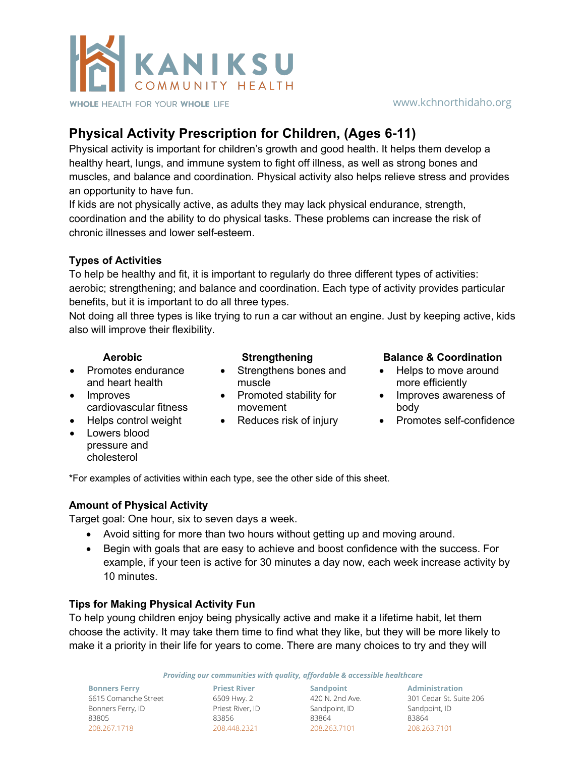

### www.kchnorthidaho.org

# **Physical Activity Prescription for Children, (Ages 6-11)**

Physical activity is important for children's growth and good health. It helps them develop a healthy heart, lungs, and immune system to fight off illness, as well as strong bones and muscles, and balance and coordination. Physical activity also helps relieve stress and provides an opportunity to have fun.

If kids are not physically active, as adults they may lack physical endurance, strength, coordination and the ability to do physical tasks. These problems can increase the risk of chronic illnesses and lower self-esteem.

# **Types of Activities**

To help be healthy and fit, it is important to regularly do three different types of activities: aerobic; strengthening; and balance and coordination. Each type of activity provides particular benefits, but it is important to do all three types.

Not doing all three types is like trying to run a car without an engine. Just by keeping active, kids also will improve their flexibility.

- Promotes endurance and heart health
- Improves
- cardiovascular fitness
- Lowers blood pressure and cholesterol
- Strengthens bones and muscle **muscle more efficiently**
- movement
- 

# **Aerobic Strengthening Balance & Coordination**

- Helps to move around
- Promoted stability for Improves awareness of body
- Reduces risk of injury Promotes self-confidence

\*For examples of activities within each type, see the other side of this sheet.

### **Amount of Physical Activity**

Target goal: One hour, six to seven days a week.

- Avoid sitting for more than two hours without getting up and moving around.
- Begin with goals that are easy to achieve and boost confidence with the success. For example, if your teen is active for 30 minutes a day now, each week increase activity by 10 minutes.

### **Tips for Making Physical Activity Fun**

To help young children enjoy being physically active and make it a lifetime habit, let them choose the activity. It may take them time to find what they like, but they will be more likely to make it a priority in their life for years to come. There are many choices to try and they will

*Providing our communities with quality, affordable & accessible healthcare*

**Bonners Ferry** 6615 Comanche Street Bonners Ferry, ID 83805 208.267.1718

6509 Hwy. 2 Priest River, ID Sandpoint, ID 83856 208.448.2321

**Sandpoint** 420 N. 2nd Ave. 83864 208.263.7101

**Priest River Administration** 301 Cedar St. Suite 206 Sandpoint, ID 83864 208.263.7101